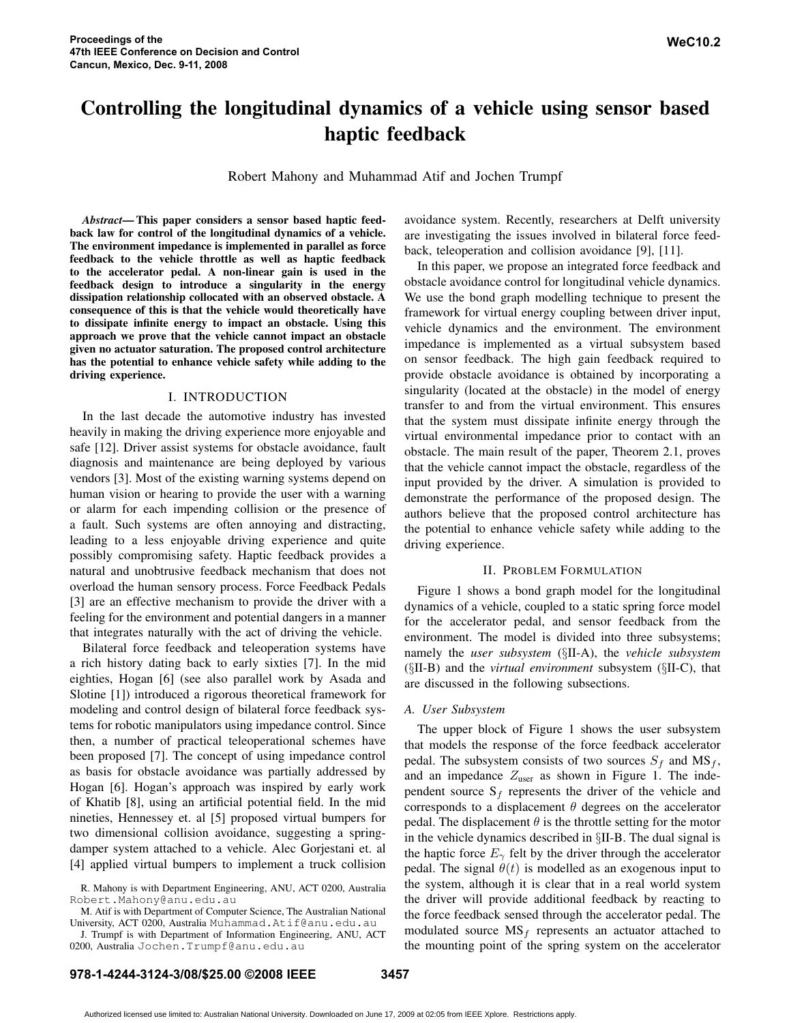# Controlling the longitudinal dynamics of a vehicle using sensor based haptic feedback

Robert Mahony and Muhammad Atif and Jochen Trumpf

*Abstract*— This paper considers a sensor based haptic feedback law for control of the longitudinal dynamics of a vehicle. The environment impedance is implemented in parallel as force feedback to the vehicle throttle as well as haptic feedback to the accelerator pedal. A non-linear gain is used in the feedback design to introduce a singularity in the energy dissipation relationship collocated with an observed obstacle. A consequence of this is that the vehicle would theoretically have to dissipate infinite energy to impact an obstacle. Using this approach we prove that the vehicle cannot impact an obstacle given no actuator saturation. The proposed control architecture has the potential to enhance vehicle safety while adding to the driving experience.

## I. INTRODUCTION

In the last decade the automotive industry has invested heavily in making the driving experience more enjoyable and safe [12]. Driver assist systems for obstacle avoidance, fault diagnosis and maintenance are being deployed by various vendors [3]. Most of the existing warning systems depend on human vision or hearing to provide the user with a warning or alarm for each impending collision or the presence of a fault. Such systems are often annoying and distracting, leading to a less enjoyable driving experience and quite possibly compromising safety. Haptic feedback provides a natural and unobtrusive feedback mechanism that does not overload the human sensory process. Force Feedback Pedals [3] are an effective mechanism to provide the driver with a feeling for the environment and potential dangers in a manner that integrates naturally with the act of driving the vehicle.

Bilateral force feedback and teleoperation systems have a rich history dating back to early sixties [7]. In the mid eighties, Hogan [6] (see also parallel work by Asada and Slotine [1]) introduced a rigorous theoretical framework for modeling and control design of bilateral force feedback systems for robotic manipulators using impedance control. Since then, a number of practical teleoperational schemes have been proposed [7]. The concept of using impedance control as basis for obstacle avoidance was partially addressed by Hogan [6]. Hogan's approach was inspired by early work of Khatib [8], using an artificial potential field. In the mid nineties, Hennessey et. al [5] proposed virtual bumpers for two dimensional collision avoidance, suggesting a springdamper system attached to a vehicle. Alec Gorjestani et. al [4] applied virtual bumpers to implement a truck collision

M. Atif is with Department of Computer Science, The Australian National University, ACT 0200, Australia Muhammad.Atif@anu.edu.au

J. Trumpf is with Department of Information Engineering, ANU, ACT 0200, Australia Jochen.Trumpf@anu.edu.au

avoidance system. Recently, researchers at Delft university are investigating the issues involved in bilateral force feedback, teleoperation and collision avoidance [9], [11].

In this paper, we propose an integrated force feedback and obstacle avoidance control for longitudinal vehicle dynamics. We use the bond graph modelling technique to present the framework for virtual energy coupling between driver input, vehicle dynamics and the environment. The environment impedance is implemented as a virtual subsystem based on sensor feedback. The high gain feedback required to provide obstacle avoidance is obtained by incorporating a singularity (located at the obstacle) in the model of energy transfer to and from the virtual environment. This ensures that the system must dissipate infinite energy through the virtual environmental impedance prior to contact with an obstacle. The main result of the paper, Theorem 2.1, proves that the vehicle cannot impact the obstacle, regardless of the input provided by the driver. A simulation is provided to demonstrate the performance of the proposed design. The authors believe that the proposed control architecture has the potential to enhance vehicle safety while adding to the driving experience.

#### II. PROBLEM FORMULATION

Figure 1 shows a bond graph model for the longitudinal dynamics of a vehicle, coupled to a static spring force model for the accelerator pedal, and sensor feedback from the environment. The model is divided into three subsystems; namely the *user subsystem* (§II-A), the *vehicle subsystem* (§II-B) and the *virtual environment* subsystem (§II-C), that are discussed in the following subsections.

## *A. User Subsystem*

The upper block of Figure 1 shows the user subsystem that models the response of the force feedback accelerator pedal. The subsystem consists of two sources  $S_f$  and  $\text{MS}_f$ , and an impedance  $Z_{user}$  as shown in Figure 1. The independent source  $S_f$  represents the driver of the vehicle and corresponds to a displacement  $\theta$  degrees on the accelerator pedal. The displacement  $\theta$  is the throttle setting for the motor in the vehicle dynamics described in §II-B. The dual signal is the haptic force  $E_{\gamma}$  felt by the driver through the accelerator pedal. The signal  $\theta(t)$  is modelled as an exogenous input to the system, although it is clear that in a real world system the driver will provide additional feedback by reacting to the force feedback sensed through the accelerator pedal. The modulated source  $MS_f$  represents an actuator attached to the mounting point of the spring system on the accelerator

R. Mahony is with Department Engineering, ANU, ACT 0200, Australia Robert.Mahony@anu.edu.au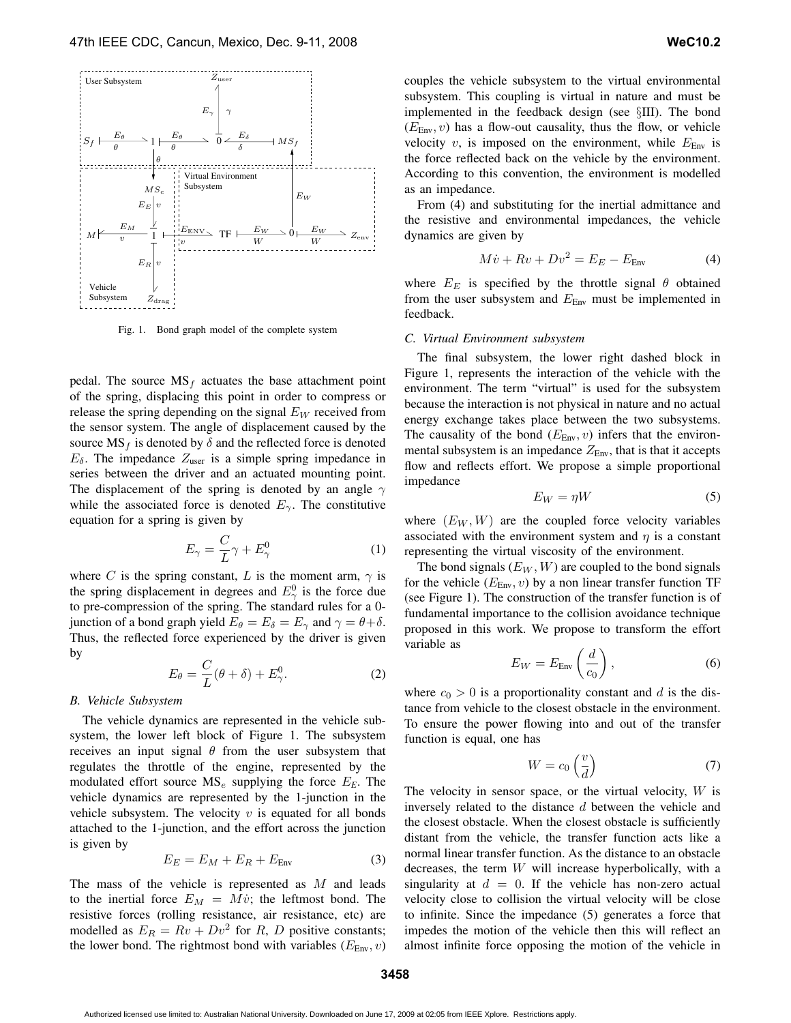

Fig. 1. Bond graph model of the complete system

pedal. The source  $MS_f$  actuates the base attachment point of the spring, displacing this point in order to compress or release the spring depending on the signal  $E_W$  received from the sensor system. The angle of displacement caused by the source  $MS_f$  is denoted by  $\delta$  and the reflected force is denoted  $E_{\delta}$ . The impedance  $Z_{user}$  is a simple spring impedance in series between the driver and an actuated mounting point. The displacement of the spring is denoted by an angle  $\gamma$ while the associated force is denoted  $E_{\gamma}$ . The constitutive equation for a spring is given by

$$
E_{\gamma} = \frac{C}{L}\gamma + E_{\gamma}^{0}
$$
 (1)

where C is the spring constant, L is the moment arm,  $\gamma$  is the spring displacement in degrees and  $E_{\gamma}^{0}$  is the force due to pre-compression of the spring. The standard rules for a 0 junction of a bond graph yield  $E_{\theta} = E_{\delta} = E_{\gamma}$  and  $\gamma = \theta + \delta$ . Thus, the reflected force experienced by the driver is given by

$$
E_{\theta} = \frac{C}{L}(\theta + \delta) + E_{\gamma}^{0}.
$$
 (2)

#### *B. Vehicle Subsystem*

The vehicle dynamics are represented in the vehicle subsystem, the lower left block of Figure 1. The subsystem receives an input signal  $\theta$  from the user subsystem that regulates the throttle of the engine, represented by the modulated effort source  $MS_e$  supplying the force  $E_E$ . The vehicle dynamics are represented by the 1-junction in the vehicle subsystem. The velocity  $v$  is equated for all bonds attached to the 1-junction, and the effort across the junction is given by

$$
E_E = E_M + E_R + E_{\text{Env}} \tag{3}
$$

The mass of the vehicle is represented as  $M$  and leads to the inertial force  $E_M = M\dot{v}$ ; the leftmost bond. The resistive forces (rolling resistance, air resistance, etc) are modelled as  $E_R = Rv + Dv^2$  for R, D positive constants; the lower bond. The rightmost bond with variables ( $E_{\text{Env}}$ , v) couples the vehicle subsystem to the virtual environmental subsystem. This coupling is virtual in nature and must be implemented in the feedback design (see §III). The bond  $(E_{\text{Env}}, v)$  has a flow-out causality, thus the flow, or vehicle velocity  $v$ , is imposed on the environment, while  $E_{\text{Env}}$  is the force reflected back on the vehicle by the environment. According to this convention, the environment is modelled as an impedance.

From (4) and substituting for the inertial admittance and the resistive and environmental impedances, the vehicle dynamics are given by

$$
M\dot{v} + Rv + Dv^2 = E_E - E_{Env}
$$
 (4)

where  $E_E$  is specified by the throttle signal  $\theta$  obtained from the user subsystem and  $E_{Env}$  must be implemented in feedback.

#### *C. Virtual Environment subsystem*

The final subsystem, the lower right dashed block in Figure 1, represents the interaction of the vehicle with the environment. The term "virtual" is used for the subsystem because the interaction is not physical in nature and no actual energy exchange takes place between the two subsystems. The causality of the bond  $(E_{Env}, v)$  infers that the environmental subsystem is an impedance  $Z_{\text{Env}}$ , that is that it accepts flow and reflects effort. We propose a simple proportional impedance

$$
E_W = \eta W \tag{5}
$$

where  $(E_W, W)$  are the coupled force velocity variables associated with the environment system and  $\eta$  is a constant representing the virtual viscosity of the environment.

The bond signals  $(E_W, W)$  are coupled to the bond signals for the vehicle  $(E_{Env}, v)$  by a non linear transfer function TF (see Figure 1). The construction of the transfer function is of fundamental importance to the collision avoidance technique proposed in this work. We propose to transform the effort variable as

$$
E_W = E_{\text{Env}} \left( \frac{d}{c_0} \right), \tag{6}
$$

where  $c_0 > 0$  is a proportionality constant and d is the distance from vehicle to the closest obstacle in the environment. To ensure the power flowing into and out of the transfer function is equal, one has

$$
W = c_0 \left(\frac{v}{d}\right) \tag{7}
$$

The velocity in sensor space, or the virtual velocity,  $W$  is inversely related to the distance d between the vehicle and the closest obstacle. When the closest obstacle is sufficiently distant from the vehicle, the transfer function acts like a normal linear transfer function. As the distance to an obstacle decreases, the term W will increase hyperbolically, with a singularity at  $d = 0$ . If the vehicle has non-zero actual velocity close to collision the virtual velocity will be close to infinite. Since the impedance (5) generates a force that impedes the motion of the vehicle then this will reflect an almost infinite force opposing the motion of the vehicle in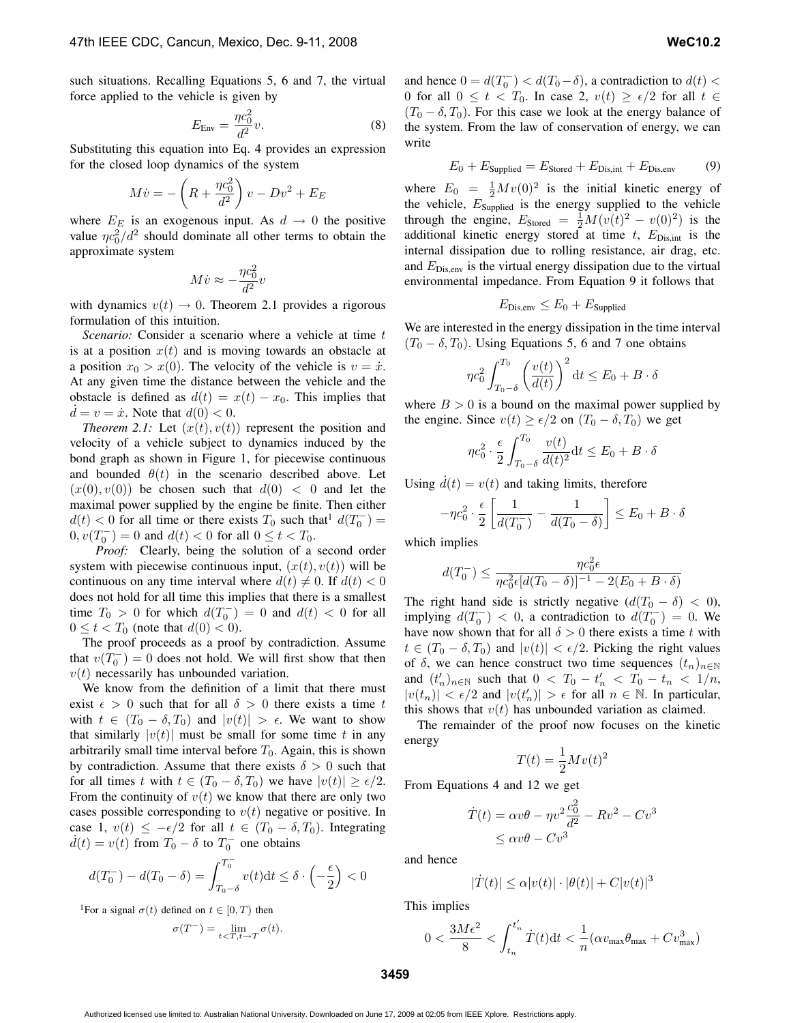such situations. Recalling Equations 5, 6 and 7, the virtual force applied to the vehicle is given by

$$
E_{\text{Env}} = \frac{\eta c_0^2}{d^2} v. \tag{8}
$$

Substituting this equation into Eq. 4 provides an expression for the closed loop dynamics of the system

$$
M\dot{v} = -\left(R + \frac{\eta c_0^2}{d^2}\right)v - Dv^2 + E_E
$$

where  $E_E$  is an exogenous input. As  $d \rightarrow 0$  the positive value  $\eta c_0^2/d^2$  should dominate all other terms to obtain the approximate system

$$
M\dot{v}\approx -\frac{\eta c_0^2}{d^2}v
$$

with dynamics  $v(t) \rightarrow 0$ . Theorem 2.1 provides a rigorous formulation of this intuition.

*Scenario:* Consider a scenario where a vehicle at time t is at a position  $x(t)$  and is moving towards an obstacle at a position  $x_0 > x(0)$ . The velocity of the vehicle is  $v = \dot{x}$ . At any given time the distance between the vehicle and the obstacle is defined as  $d(t) = x(t) - x_0$ . This implies that  $d = v = \dot{x}$ . Note that  $d(0) < 0$ .

*Theorem 2.1:* Let  $(x(t), v(t))$  represent the position and velocity of a vehicle subject to dynamics induced by the bond graph as shown in Figure 1, for piecewise continuous and bounded  $\theta(t)$  in the scenario described above. Let  $(x(0), v(0))$  be chosen such that  $d(0) < 0$  and let the maximal power supplied by the engine be finite. Then either  $d(t) < 0$  for all time or there exists  $T_0$  such that  $d(T_0^-) =$  $0, v(T_0^-) = 0$  and  $d(t) < 0$  for all  $0 \le t < T_0$ .

*Proof:* Clearly, being the solution of a second order system with piecewise continuous input,  $(x(t), v(t))$  will be continuous on any time interval where  $d(t) \neq 0$ . If  $d(t) < 0$ does not hold for all time this implies that there is a smallest time  $T_0 > 0$  for which  $d(T_0^-) = 0$  and  $d(t) < 0$  for all  $0 \le t < T_0$  (note that  $d(0) < 0$ ).

The proof proceeds as a proof by contradiction. Assume that  $v(T_0^-) = 0$  does not hold. We will first show that then  $v(t)$  necessarily has unbounded variation.

We know from the definition of a limit that there must exist  $\epsilon > 0$  such that for all  $\delta > 0$  there exists a time t with  $t \in (T_0 - \delta, T_0)$  and  $|v(t)| > \epsilon$ . We want to show that similarly  $|v(t)|$  must be small for some time t in any arbitrarily small time interval before  $T_0$ . Again, this is shown by contradiction. Assume that there exists  $\delta > 0$  such that for all times t with  $t \in (T_0 - \delta, T_0)$  we have  $|v(t)| \ge \epsilon/2$ . From the continuity of  $v(t)$  we know that there are only two cases possible corresponding to  $v(t)$  negative or positive. In case 1,  $v(t) \le -\epsilon/2$  for all  $t \in (T_0 - \delta, T_0)$ . Integrating  $\dot{d}(t) = v(t)$  from  $T_0 - \delta$  to  $T_0^-$  one obtains

$$
d(T_0^-) - d(T_0 - \delta) = \int_{T_0 - \delta}^{T_0^-} v(t) dt \le \delta \cdot \left(-\frac{\epsilon}{2}\right) < 0
$$

<sup>1</sup>For a signal  $\sigma(t)$  defined on  $t \in [0, T)$  then

$$
\sigma(T^{-}) = \lim_{t < T, t \to T} \sigma(t).
$$

and hence  $0 = d(T_0^-) < d(T_0 - \delta)$ , a contradiction to  $d(t)$  < 0 for all  $0 \le t < T_0$ . In case 2,  $v(t) \ge \frac{\epsilon}{2}$  for all  $t \in$  $(T_0 - \delta, T_0)$ . For this case we look at the energy balance of the system. From the law of conservation of energy, we can write

$$
E_0 + E_{\text{Supplied}} = E_{\text{Stored}} + E_{\text{Dis,int}} + E_{\text{Dis,env}} \tag{9}
$$

where  $E_0 = \frac{1}{2}Mv(0)^2$  is the initial kinetic energy of the vehicle,  $E_{\text{Supplied}}$  is the energy supplied to the vehicle through the engine,  $E_{\text{stored}} = \frac{1}{2}M(v(t)^2 - v(0)^2)$  is the additional kinetic energy stored at time  $t$ ,  $E_{\text{Dis,int}}$  is the internal dissipation due to rolling resistance, air drag, etc. and  $E_{\text{Dis,env}}$  is the virtual energy dissipation due to the virtual environmental impedance. From Equation 9 it follows that

$$
E_{\text{Dis,env}} \leq E_0 + E_{\text{Supplied}}
$$

We are interested in the energy dissipation in the time interval  $(T_0 - \delta, T_0)$ . Using Equations 5, 6 and 7 one obtains

$$
\eta c_0^2 \int_{T_0 - \delta}^{T_0} \left( \frac{v(t)}{d(t)} \right)^2 dt \le E_0 + B \cdot \delta
$$

where  $B > 0$  is a bound on the maximal power supplied by the engine. Since  $v(t) \ge \epsilon/2$  on  $(T_0 - \delta, T_0)$  we get

$$
\eta c_0^2 \cdot \frac{\epsilon}{2} \int_{T_0 - \delta}^{T_0} \frac{v(t)}{d(t)^2} dt \le E_0 + B \cdot \delta
$$

Using  $\dot{d}(t) = v(t)$  and taking limits, therefore

$$
-\eta c_0^2 \cdot \frac{\epsilon}{2} \left[ \frac{1}{d(T_0^-)} - \frac{1}{d(T_0 - \delta)} \right] \le E_0 + B \cdot \delta
$$

which implies

$$
d(T_0^-) \leq \frac{\eta c_0^2 \epsilon}{\eta c_0^2 \epsilon [d(T_0 - \delta)]^{-1} - 2(E_0 + B \cdot \delta)}
$$

The right hand side is strictly negative  $(d(T_0 - \delta) < 0)$ , implying  $d(T_0^-) < 0$ , a contradiction to  $d(T_0^-) = 0$ . We have now shown that for all  $\delta > 0$  there exists a time t with  $t \in (T_0 - \delta, T_0)$  and  $|v(t)| < \epsilon/2$ . Picking the right values of  $\delta$ , we can hence construct two time sequences  $(t_n)_{n\in\mathbb{N}}$ and  $(t'_n)_{n \in \mathbb{N}}$  such that  $0 < T_0 - t'_n < T_0 - t_n < 1/n$ ,  $|v(t_n)| < \epsilon/2$  and  $|v(t'_n)| > \epsilon$  for all  $n \in \mathbb{N}$ . In particular, this shows that  $v(t)$  has unbounded variation as claimed.

The remainder of the proof now focuses on the kinetic energy

$$
T(t) = \frac{1}{2}Mv(t)^2
$$

From Equations 4 and 12 we get

$$
\dot{T}(t) = \alpha v \theta - \eta v^2 \frac{c_0^2}{d^2} - R v^2 - C v^3
$$
  

$$
\leq \alpha v \theta - C v^3
$$

and hence

$$
|\dot{T}(t)|\leq \alpha |v(t)|\cdot |\theta(t)|+C|v(t)|^3
$$

This implies

$$
0<\frac{3M\epsilon^2}{8}<\int_{t_n}^{t_n'}\dot{T}(t)\mathrm{d}t<\frac{1}{n}(\alpha v_{\max}\theta_{\max}+Cv_{\max}^3)
$$

**3459**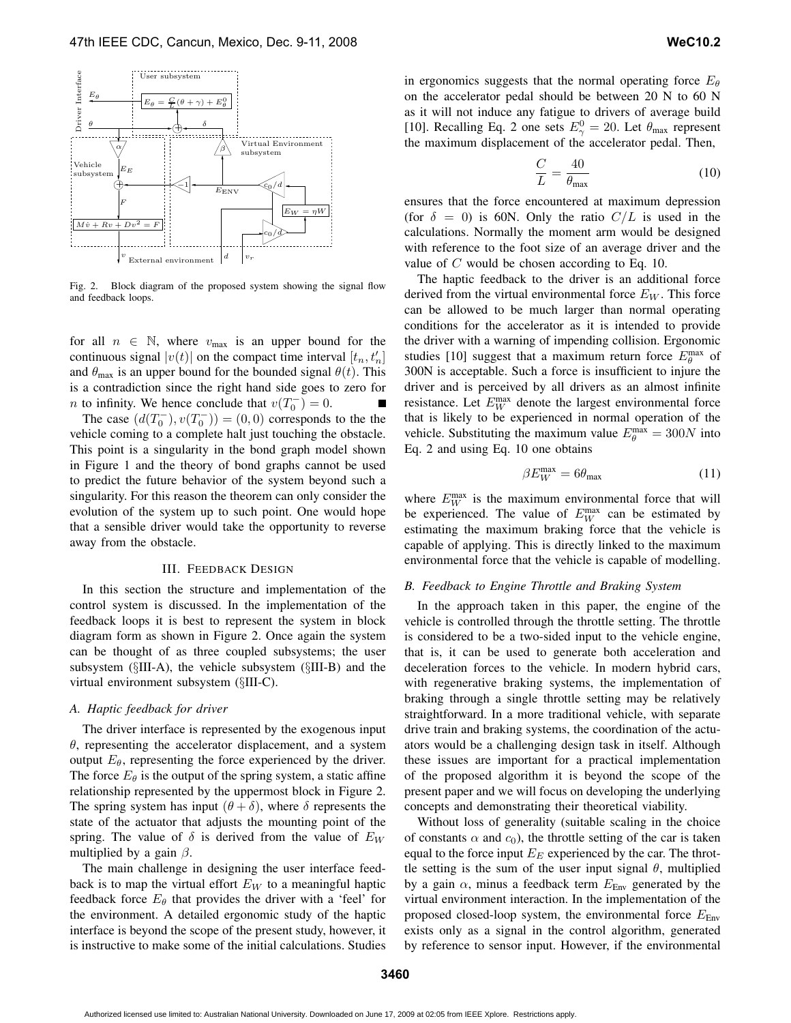

Fig. 2. Block diagram of the proposed system showing the signal flow and feedback loops.

for all  $n \in \mathbb{N}$ , where  $v_{\text{max}}$  is an upper bound for the continuous signal  $|v(t)|$  on the compact time interval  $[t_n, t'_n]$ and  $\theta_{\text{max}}$  is an upper bound for the bounded signal  $\theta(t)$ . This is a contradiction since the right hand side goes to zero for *n* to infinity. We hence conclude that  $v(T_0^-) = 0$ .

The case  $(d(T_0^-), v(T_0^-)) = (0, 0)$  corresponds to the the vehicle coming to a complete halt just touching the obstacle. This point is a singularity in the bond graph model shown in Figure 1 and the theory of bond graphs cannot be used to predict the future behavior of the system beyond such a singularity. For this reason the theorem can only consider the evolution of the system up to such point. One would hope that a sensible driver would take the opportunity to reverse away from the obstacle.

## III. FEEDBACK DESIGN

In this section the structure and implementation of the control system is discussed. In the implementation of the feedback loops it is best to represent the system in block diagram form as shown in Figure 2. Once again the system can be thought of as three coupled subsystems; the user subsystem (§III-A), the vehicle subsystem (§III-B) and the virtual environment subsystem (§III-C).

## *A. Haptic feedback for driver*

The driver interface is represented by the exogenous input  $\theta$ , representing the accelerator displacement, and a system output  $E_{\theta}$ , representing the force experienced by the driver. The force  $E_{\theta}$  is the output of the spring system, a static affine relationship represented by the uppermost block in Figure 2. The spring system has input  $(\theta + \delta)$ , where  $\delta$  represents the state of the actuator that adjusts the mounting point of the spring. The value of  $\delta$  is derived from the value of  $E_W$ multiplied by a gain  $\beta$ .

The main challenge in designing the user interface feedback is to map the virtual effort  $E_W$  to a meaningful haptic feedback force  $E_{\theta}$  that provides the driver with a 'feel' for the environment. A detailed ergonomic study of the haptic interface is beyond the scope of the present study, however, it is instructive to make some of the initial calculations. Studies in ergonomics suggests that the normal operating force  $E_{\theta}$ on the accelerator pedal should be between 20 N to 60 N as it will not induce any fatigue to drivers of average build [10]. Recalling Eq. 2 one sets  $E_{\gamma}^{0} = 20$ . Let  $\theta_{\text{max}}$  represent the maximum displacement of the accelerator pedal. Then,

$$
\frac{C}{L} = \frac{40}{\theta_{\text{max}}} \tag{10}
$$

ensures that the force encountered at maximum depression (for  $\delta = 0$ ) is 60N. Only the ratio  $C/L$  is used in the calculations. Normally the moment arm would be designed with reference to the foot size of an average driver and the value of C would be chosen according to Eq. 10.

The haptic feedback to the driver is an additional force derived from the virtual environmental force  $E_W$ . This force can be allowed to be much larger than normal operating conditions for the accelerator as it is intended to provide the driver with a warning of impending collision. Ergonomic studies [10] suggest that a maximum return force  $E_{\theta}^{\max}$  of 300N is acceptable. Such a force is insufficient to injure the driver and is perceived by all drivers as an almost infinite resistance. Let  $E_W^{\text{max}}$  denote the largest environmental force that is likely to be experienced in normal operation of the vehicle. Substituting the maximum value  $E_{\theta}^{\max} = 300N$  into Eq. 2 and using Eq. 10 one obtains

$$
\beta E_W^{\text{max}} = 6\theta_{\text{max}} \tag{11}
$$

where  $E_W^{\text{max}}$  is the maximum environmental force that will be experienced. The value of  $E_W^{\text{max}}$  can be estimated by estimating the maximum braking force that the vehicle is capable of applying. This is directly linked to the maximum environmental force that the vehicle is capable of modelling.

#### *B. Feedback to Engine Throttle and Braking System*

In the approach taken in this paper, the engine of the vehicle is controlled through the throttle setting. The throttle is considered to be a two-sided input to the vehicle engine, that is, it can be used to generate both acceleration and deceleration forces to the vehicle. In modern hybrid cars, with regenerative braking systems, the implementation of braking through a single throttle setting may be relatively straightforward. In a more traditional vehicle, with separate drive train and braking systems, the coordination of the actuators would be a challenging design task in itself. Although these issues are important for a practical implementation of the proposed algorithm it is beyond the scope of the present paper and we will focus on developing the underlying concepts and demonstrating their theoretical viability.

Without loss of generality (suitable scaling in the choice of constants  $\alpha$  and  $c_0$ ), the throttle setting of the car is taken equal to the force input  $E<sub>E</sub>$  experienced by the car. The throttle setting is the sum of the user input signal  $\theta$ , multiplied by a gain  $\alpha$ , minus a feedback term  $E_{\text{Env}}$  generated by the virtual environment interaction. In the implementation of the proposed closed-loop system, the environmental force  $E_{\text{Env}}$ exists only as a signal in the control algorithm, generated by reference to sensor input. However, if the environmental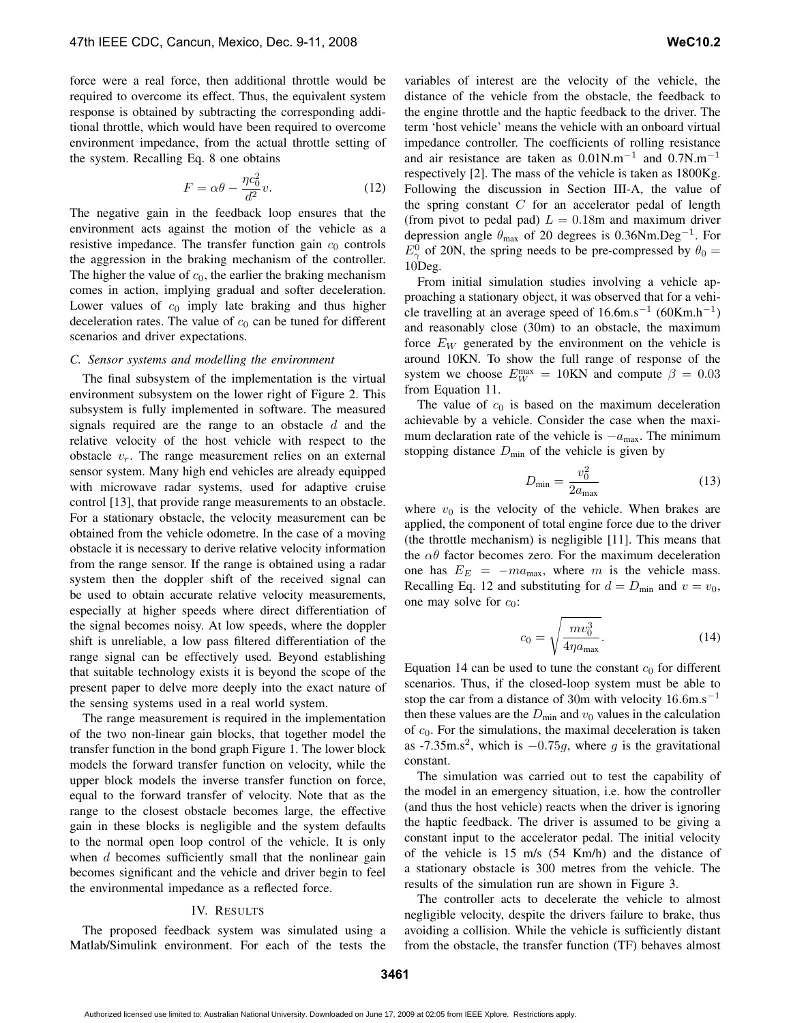force were a real force, then additional throttle would be required to overcome its effect. Thus, the equivalent system response is obtained by subtracting the corresponding additional throttle, which would have been required to overcome environment impedance, from the actual throttle setting of the system. Recalling Eq. 8 one obtains

$$
F = \alpha \theta - \frac{\eta c_0^2}{d^2} v.
$$
 (12)

The negative gain in the feedback loop ensures that the environment acts against the motion of the vehicle as a resistive impedance. The transfer function gain  $c_0$  controls the aggression in the braking mechanism of the controller. The higher the value of  $c_0$ , the earlier the braking mechanism comes in action, implying gradual and softer deceleration. Lower values of  $c_0$  imply late braking and thus higher deceleration rates. The value of  $c_0$  can be tuned for different scenarios and driver expectations.

#### *C. Sensor systems and modelling the environment*

The final subsystem of the implementation is the virtual environment subsystem on the lower right of Figure 2. This subsystem is fully implemented in software. The measured signals required are the range to an obstacle d and the relative velocity of the host vehicle with respect to the obstacle  $v_r$ . The range measurement relies on an external sensor system. Many high end vehicles are already equipped with microwave radar systems, used for adaptive cruise control [13], that provide range measurements to an obstacle. For a stationary obstacle, the velocity measurement can be obtained from the vehicle odometre. In the case of a moving obstacle it is necessary to derive relative velocity information from the range sensor. If the range is obtained using a radar system then the doppler shift of the received signal can be used to obtain accurate relative velocity measurements, especially at higher speeds where direct differentiation of the signal becomes noisy. At low speeds, where the doppler shift is unreliable, a low pass filtered differentiation of the range signal can be effectively used. Beyond establishing that suitable technology exists it is beyond the scope of the present paper to delve more deeply into the exact nature of the sensing systems used in a real world system.

The range measurement is required in the implementation of the two non-linear gain blocks, that together model the transfer function in the bond graph Figure 1. The lower block models the forward transfer function on velocity, while the upper block models the inverse transfer function on force, equal to the forward transfer of velocity. Note that as the range to the closest obstacle becomes large, the effective gain in these blocks is negligible and the system defaults to the normal open loop control of the vehicle. It is only when  $d$  becomes sufficiently small that the nonlinear gain becomes significant and the vehicle and driver begin to feel the environmental impedance as a reflected force.

## IV. RESULTS

The proposed feedback system was simulated using a Matlab/Simulink environment. For each of the tests the variables of interest are the velocity of the vehicle, the distance of the vehicle from the obstacle, the feedback to the engine throttle and the haptic feedback to the driver. The term 'host vehicle' means the vehicle with an onboard virtual impedance controller. The coefficients of rolling resistance and air resistance are taken as  $0.01$ N.m<sup>-1</sup> and  $0.7$ N.m<sup>-1</sup> respectively [2]. The mass of the vehicle is taken as 1800Kg. Following the discussion in Section III-A, the value of the spring constant  $C$  for an accelerator pedal of length (from pivot to pedal pad)  $L = 0.18$ m and maximum driver depression angle  $\theta_{\text{max}}$  of 20 degrees is 0.36Nm.Deg<sup>-1</sup>. For  $E_{\gamma}^{\hat{0}}$  of 20N, the spring needs to be pre-compressed by  $\theta_0 =$ 10Deg.

From initial simulation studies involving a vehicle approaching a stationary object, it was observed that for a vehicle travelling at an average speed of  $16.6 \text{m.s}^{-1}$  (60Km.h<sup>-1</sup>) and reasonably close (30m) to an obstacle, the maximum force  $E_W$  generated by the environment on the vehicle is around 10KN. To show the full range of response of the system we choose  $E_W^{\text{max}} = 10$ KN and compute  $\beta = 0.03$ from Equation 11.

The value of  $c_0$  is based on the maximum deceleration achievable by a vehicle. Consider the case when the maximum declaration rate of the vehicle is  $-a_{\text{max}}$ . The minimum stopping distance  $D_{\text{min}}$  of the vehicle is given by

$$
D_{\min} = \frac{v_0^2}{2a_{\max}}\tag{13}
$$

where  $v_0$  is the velocity of the vehicle. When brakes are applied, the component of total engine force due to the driver (the throttle mechanism) is negligible [11]. This means that the  $\alpha\theta$  factor becomes zero. For the maximum deceleration one has  $E_E = -ma_{\text{max}}$ , where m is the vehicle mass. Recalling Eq. 12 and substituting for  $d = D_{\text{min}}$  and  $v = v_0$ , one may solve for  $c_0$ :

$$
c_0 = \sqrt{\frac{mv_0^3}{4\eta a_{\text{max}}}}.\tag{14}
$$

Equation 14 can be used to tune the constant  $c_0$  for different scenarios. Thus, if the closed-loop system must be able to stop the car from a distance of 30m with velocity  $16.6 \text{m.s}^{-1}$ then these values are the  $D_{\text{min}}$  and  $v_0$  values in the calculation of  $c_0$ . For the simulations, the maximal deceleration is taken as -7.35m.s<sup>2</sup>, which is  $-0.75g$ , where g is the gravitational constant.

The simulation was carried out to test the capability of the model in an emergency situation, i.e. how the controller (and thus the host vehicle) reacts when the driver is ignoring the haptic feedback. The driver is assumed to be giving a constant input to the accelerator pedal. The initial velocity of the vehicle is 15 m/s (54 Km/h) and the distance of a stationary obstacle is 300 metres from the vehicle. The results of the simulation run are shown in Figure 3.

The controller acts to decelerate the vehicle to almost negligible velocity, despite the drivers failure to brake, thus avoiding a collision. While the vehicle is sufficiently distant from the obstacle, the transfer function (TF) behaves almost